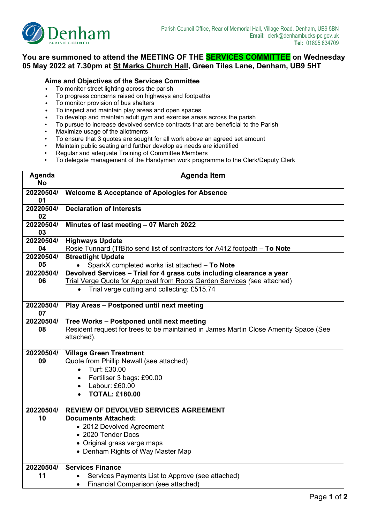

## **You are summoned to attend the MEETING OF THE SERVICES COMMITTEE on Wednesday 05 May 2022 at 7.30pm at St Marks Church Hall, Green Tiles Lane, Denham, UB9 5HT**

## **Aims and Objectives of the Services Committee**

- To monitor street lighting across the parish
- To progress concerns raised on highways and footpaths
- To monitor provision of bus shelters
- To inspect and maintain play areas and open spaces
- To develop and maintain adult gym and exercise areas across the parish
- To pursue to increase devolved service contracts that are beneficial to the Parish
- Maximize usage of the allotments
- To ensure that 3 quotes are sought for all work above an agreed set amount
- Maintain public seating and further develop as needs are identified
- Regular and adequate Training of Committee Members
- To delegate management of the Handyman work programme to the Clerk/Deputy Clerk

| Agenda<br><b>No</b> | <b>Agenda Item</b>                                                                                                                                                                                            |  |  |  |  |
|---------------------|---------------------------------------------------------------------------------------------------------------------------------------------------------------------------------------------------------------|--|--|--|--|
| 20220504/<br>01     | <b>Welcome &amp; Acceptance of Apologies for Absence</b>                                                                                                                                                      |  |  |  |  |
| 20220504/<br>02     | <b>Declaration of Interests</b>                                                                                                                                                                               |  |  |  |  |
| 20220504/<br>03     | Minutes of last meeting - 07 March 2022                                                                                                                                                                       |  |  |  |  |
| 20220504/<br>04     | <b>Highways Update</b><br>Rosie Tunnard (TfB) to send list of contractors for A412 footpath - To Note                                                                                                         |  |  |  |  |
| 20220504/<br>05     | <b>Streetlight Update</b><br>SparkX completed works list attached - To Note                                                                                                                                   |  |  |  |  |
| 20220504/<br>06     | Devolved Services - Trial for 4 grass cuts including clearance a year<br>Trial Verge Quote for Approval from Roots Garden Services (see attached)<br>Trial verge cutting and collecting: £515.74<br>$\bullet$ |  |  |  |  |
| 20220504/<br>07     | Play Areas - Postponed until next meeting                                                                                                                                                                     |  |  |  |  |
| 20220504/<br>08     | Tree Works - Postponed until next meeting<br>Resident request for trees to be maintained in James Martin Close Amenity Space (See<br>attached).                                                               |  |  |  |  |
| 20220504/<br>09     | <b>Village Green Treatment</b><br>Quote from Phillip Newall (see attached)<br>Turf: £30.00<br>$\bullet$<br>Fertiliser 3 bags: £90.00<br>$\bullet$<br>Labour: £60.00<br>$\bullet$<br><b>TOTAL: £180.00</b>     |  |  |  |  |
| 20220504/<br>10     | <b>REVIEW OF DEVOLVED SERVICES AGREEMENT</b><br><b>Documents Attached:</b><br>• 2012 Devolved Agreement<br>• 2020 Tender Docs<br>• Original grass verge maps<br>• Denham Rights of Way Master Map             |  |  |  |  |
| 20220504/<br>11     | <b>Services Finance</b><br>Services Payments List to Approve (see attached)<br>Financial Comparison (see attached)<br>$\bullet$                                                                               |  |  |  |  |